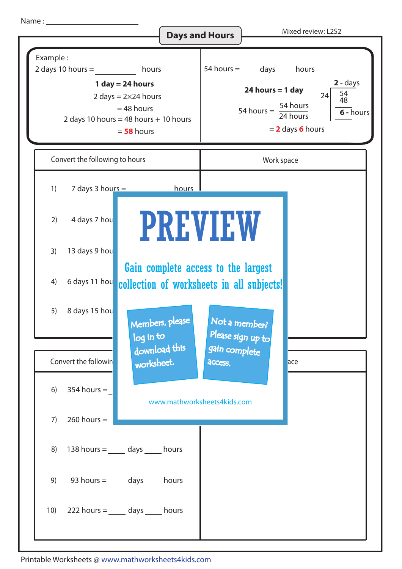